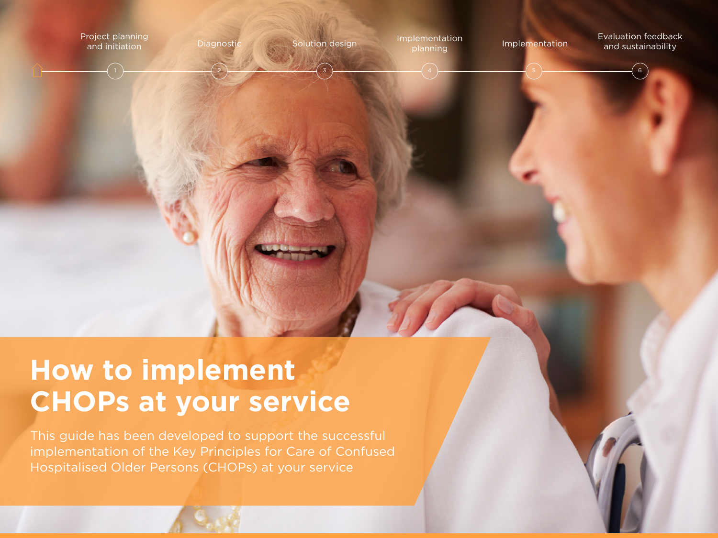

# **How to implement CHOPs at your service**

This guide has been developed to support the successful implementation of the Key Principles for Care of Confused Hospitalised Older Persons (CHOPs) at your service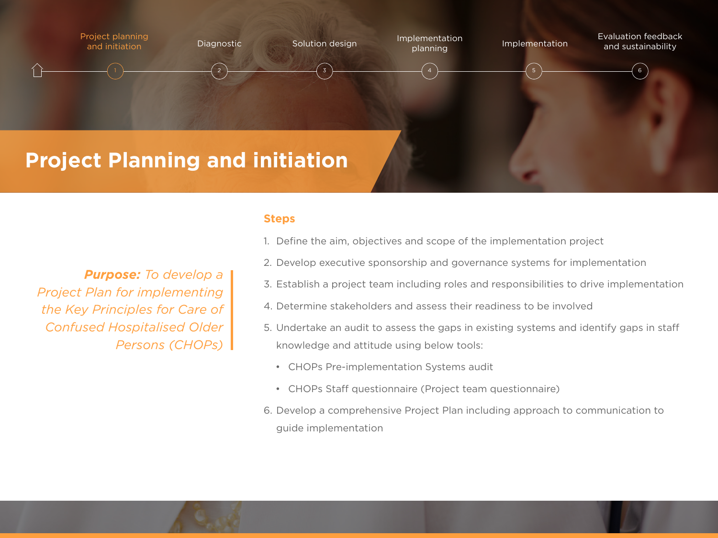

### **Steps**

1. Define the aim, objectives and scope of the implementation project

- 2. Develop executive sponsorship and governance systems for implementation
- 3. Establish a project team including roles and responsibilities to drive implementation
- 4. Determine stakeholders and assess their readiness to be involved
- 5. Undertake an audit to assess the gaps in existing systems and identify gaps in staff knowledge and attitude using below tools:
	- CHOPs Pre-implementation Systems audit
	- CHOPs Staff questionnaire (Project team questionnaire)
- 6. Develop a comprehensive Project Plan including approach to communication to guide implementation

*Purpose: To develop a Project Plan for implementing the Key Principles for Care of Confused Hospitalised Older Persons (CHOPs)*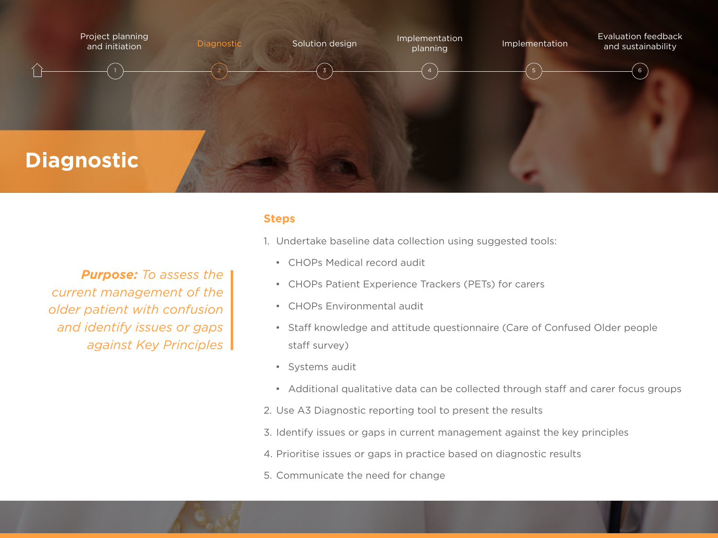

*Purpose: To assess the current management of the older patient with confusion and identify issues or gaps against Key Principles*

## **Steps**

- 1. Undertake baseline data collection using suggested tools:
	- CHOPs Medical record audit
	- CHOPs Patient Experience Trackers (PETs) for carers
	- CHOPs Environmental audit
	- Staff knowledge and attitude questionnaire (Care of Confused Older people staff survey)
	- Systems audit
	- Additional qualitative data can be collected through staff and carer focus groups
- 2. Use A3 Diagnostic reporting tool to present the results
- 3. Identify issues or gaps in current management against the key principles
- 4. Prioritise issues or gaps in practice based on diagnostic results
- 5. Communicate the need for change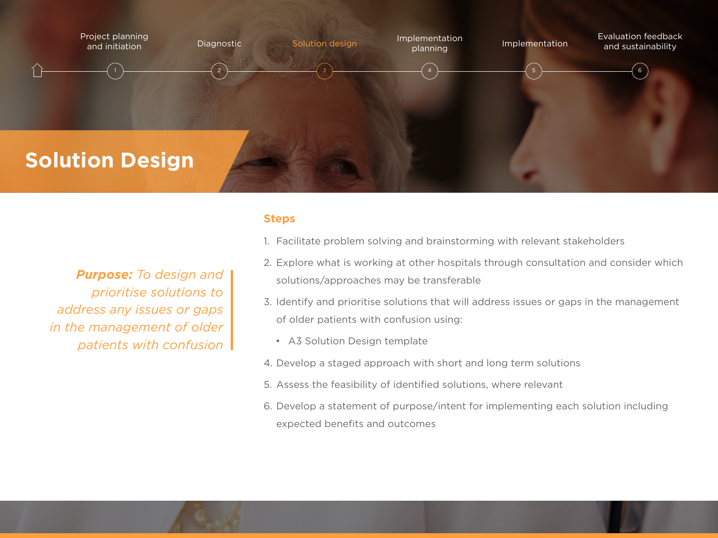

*Purpose: To design and prioritise solutions to address any issues or gaps in the management of older patients with confusion* 

## **Steps**

- 1. Facilitate problem solving and brainstorming with relevant stakeholders
- 2. Explore what is working at other hospitals through consultation and consider which solutions/approaches may be transferable
- 3. Identify and prioritise solutions that will address issues or gaps in the management of older patients with confusion using:
	- A3 Solution Design template
- 4. Develop a staged approach with short and long term solutions
- 5. Assess the feasibility of identified solutions, where relevant
- 6. Develop a statement of purpose/intent for implementing each solution including expected benefits and outcomes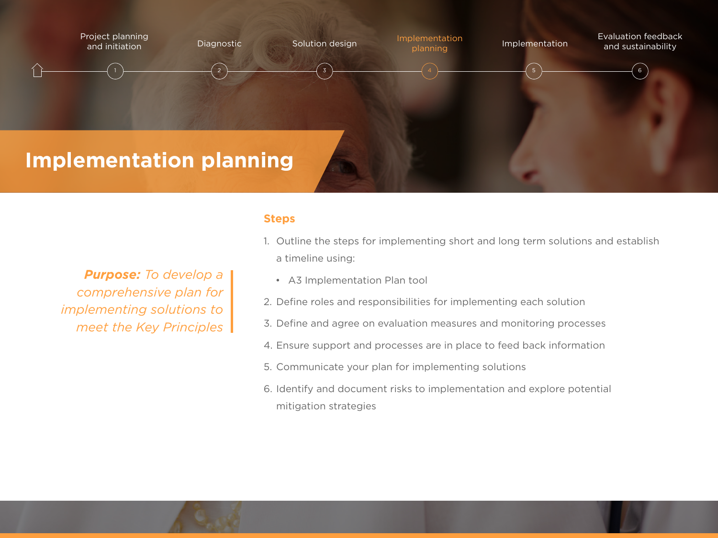

*Purpose: To develop a comprehensive plan for implementing solutions to meet the Key Principles*

### **Steps**

- 1. Outline the steps for implementing short and long term solutions and establish a timeline using:
	- A3 Implementation Plan tool
- 2. Define roles and responsibilities for implementing each solution
- 3. Define and agree on evaluation measures and monitoring processes
- 4. Ensure support and processes are in place to feed back information
- 5. Communicate your plan for implementing solutions
- 6. Identify and document risks to implementation and explore potential mitigation strategies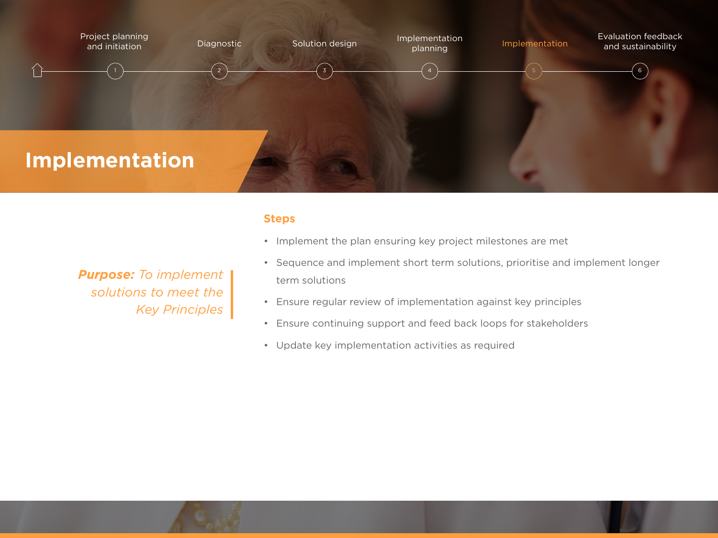

## **Steps**

*Purpose: To implement solutions to meet the Key Principles*

- Implement the plan ensuring key project milestones are met
- Sequence and implement short term solutions, prioritise and implement longer term solutions
- Ensure regular review of implementation against key principles
- Ensure continuing support and feed back loops for stakeholders
- Update key implementation activities as required